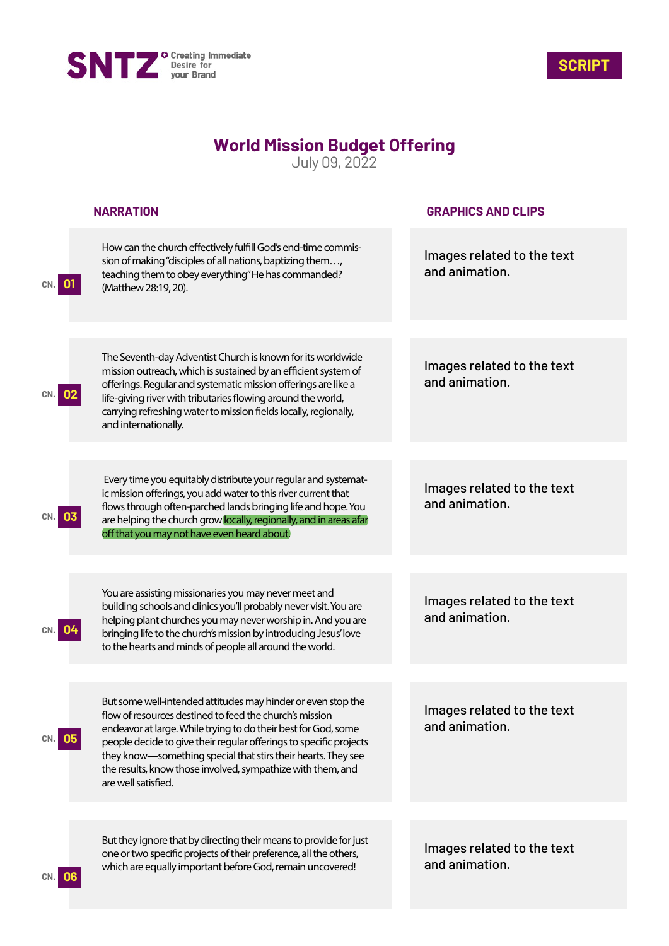



## **World Mission Budget Offering**

July 09, 2022

|           | <b>NARRATION</b>                                                                                                                                                                                                                                                                                                                                                                                                       | <b>GRAPHICS AND CLIPS</b>                    |
|-----------|------------------------------------------------------------------------------------------------------------------------------------------------------------------------------------------------------------------------------------------------------------------------------------------------------------------------------------------------------------------------------------------------------------------------|----------------------------------------------|
|           | How can the church effectively fulfill God's end-time commis-<br>sion of making "disciples of all nations, baptizing them,<br>teaching them to obey everything" He has commanded?<br>(Matthew 28:19, 20).                                                                                                                                                                                                              | Images related to the text<br>and animation. |
|           | The Seventh-day Adventist Church is known for its worldwide<br>mission outreach, which is sustained by an efficient system of                                                                                                                                                                                                                                                                                          | Images related to the text                   |
|           | offerings. Regular and systematic mission offerings are like a<br>life-giving river with tributaries flowing around the world,<br>carrying refreshing water to mission fields locally, regionally,<br>and internationally.                                                                                                                                                                                             | and animation.                               |
|           |                                                                                                                                                                                                                                                                                                                                                                                                                        |                                              |
|           | Every time you equitably distribute your regular and systemat-<br>ic mission offerings, you add water to this river current that<br>flows through often-parched lands bringing life and hope. You<br>are helping the church grow locally, regionally, and in areas afar<br>off that you may not have even heard about.                                                                                                 | Images related to the text<br>and animation. |
|           |                                                                                                                                                                                                                                                                                                                                                                                                                        |                                              |
|           | You are assisting missionaries you may never meet and<br>building schools and clinics you'll probably never visit. You are<br>helping plant churches you may never worship in. And you are<br>bringing life to the church's mission by introducing Jesus' love<br>to the hearts and minds of people all around the world.                                                                                              | Images related to the text<br>and animation. |
|           |                                                                                                                                                                                                                                                                                                                                                                                                                        |                                              |
| <b>U5</b> | But some well-intended attitudes may hinder or even stop the<br>flow of resources destined to feed the church's mission<br>endeavor at large. While trying to do their best for God, some<br>people decide to give their regular offerings to specific projects<br>they know-something special that stirs their hearts. They see<br>the results, know those involved, sympathize with them, and<br>are well satisfied. | Images related to the text<br>and animation. |
|           |                                                                                                                                                                                                                                                                                                                                                                                                                        |                                              |
|           | But they ignore that by directing their means to provide for just<br>one or two specific projects of their preference, all the others,<br>which are equally important before God, remain uncovered!                                                                                                                                                                                                                    | Images related to the text<br>and animation. |